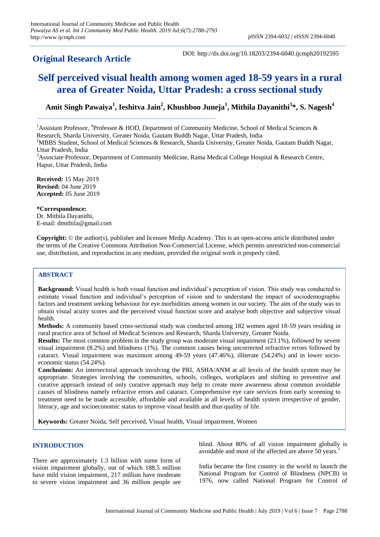# **Original Research Article**

DOI: http://dx.doi.org/10.18203/2394-6040.ijcmph20192595

# **Self perceived visual health among women aged 18-59 years in a rural area of Greater Noida, Uttar Pradesh: a cross sectional study**

**Amit Singh Pawaiya<sup>1</sup> , Ieshitva Jain<sup>2</sup> , Khushboo Juneja<sup>1</sup> , Mithila Dayanithi<sup>3</sup> \*, S. Nagesh<sup>4</sup>**

<sup>1</sup> Assistant Professor, <sup>4</sup> Professor & HOD, Department of Community Medicine, School of Medical Sciences & Research, Sharda University, Greater Noida, Gautam Buddh Nagar, Uttar Pradesh, India

<sup>2</sup>MBBS Student, School of Medical Sciences & Research, Sharda University, Greater Noida, Gautam Buddh Nagar,

Uttar Pradesh, India

<sup>3</sup>Associate Professor, Department of Community Medicine, Rama Medical College Hospital & Research Centre, Hapur, Uttar Pradesh, India

**Received:** 15 May 2019 **Revised:** 04 June 2019 **Accepted:** 05 June 2019

**\*Correspondence:** Dr. Mithila Dayanithi, E-mail: dmithila@gmail.com

**Copyright:** © the author(s), publisher and licensee Medip Academy. This is an open-access article distributed under the terms of the Creative Commons Attribution Non-Commercial License, which permits unrestricted non-commercial use, distribution, and reproduction in any medium, provided the original work is properly cited.

# **ABSTRACT**

**Background:** Visual health is both visual function and individual's perception of vision. This study was conducted to estimate visual function and individual's perception of vision and to understand the impact of sociodemographic factors and treatment seeking behaviour for eye morbidities among women in our society. The aim of the study was to obtain visual acuity scores and the perceived visual function score and analyse both objective and subjective visual health.

**Methods:** A community based cross-sectional study was conducted among 182 women aged 18-59 years residing in rural practice area of School of Medical Sciences and Research, Sharda University, Greater Noida.

**Results:** The most common problem in the study group was moderate visual impairment (23.1%), followed by severe visual impairment (8.2%) and blindness (1%). The common causes being uncorrected refractive errors followed by cataract. Visual impairment was maximum among 49-59 years (47.46%), illiterate (54.24%) and in lower socioeconomic status (54.24%).

**Conclusions:** An intersectoral approach involving the PRI, ASHA/ANM at all levels of the health system may be appropriate. Strategies involving the communities, schools, colleges, workplaces and shifting to preventive and curative approach instead of only curative approach may help to create more awareness about common avoidable causes of blindness namely refractive errors and cataract. Comprehensive eye care services from early screening to treatment need to be made accessible, affordable and available at all levels of health system irrespective of gender, literacy, age and socioeconomic status to improve visual health and thus quality of life.

**Keywords:** Greater Noida, Self perceived, Visual health, Visual impairment, Women

# **INTRODUCTION**

There are approximately 1.3 billion with some form of vision impairment globally, out of which 188.5 million have mild vision impairment, 217 million have moderate to severe vision impairment and 36 million people are blind. About 80% of all vision impairment globally is avoidable and most of the affected are above 50 years.<sup>1</sup>

India became the first country in the world to launch the National Program for Control of Blindness (NPCB) in 1976, now called National Program for Control of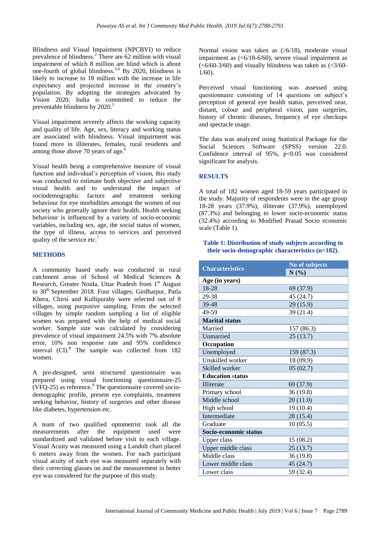Blindness and Visual Impairment (NPCBVI) to reduce prevalence of blindness.<sup>2</sup> There are 62 million with visual impairment of which 8 million are blind which is about one-fourth of global blindness.<sup>3,4</sup> By 2020, blindness is likely to increase to 18 million with the increase in life expectancy and projected increase in the country's population. By adopting the strategies advocated by Vision 2020, India is committed to reduce the preventable blindness by 2020.<sup>5</sup>

Visual impairment severely affects the working capacity and quality of life. Age, sex, literacy and working status are associated with blindness. Visual impairment was found more in illiterates, females, rural residents and among those above 70 years of age.<sup>6</sup>

Visual health being a comprehensive measure of visual function and individual's perception of vision, this study was conducted to estimate both objective and subjective visual health and to understand the impact of sociodemographic factors and treatment seeking behaviour for eye morbidities amongst the women of our society who generally ignore their health. Health seeking behaviour is influenced by a variety of socio-economic variables, including sex, age, the social status of women, the type of illness, access to services and perceived quality of the service etc.<sup>7</sup>

#### **METHODS**

A community based study was conducted in rural catchment areas of School of Medical Sciences & Research, Greater Noida, Uttar Pradesh from 1<sup>st</sup> August to 30<sup>th</sup> September 2018. Four villages: Girdharpur, Patla Khera, Chirsi and Kullipuraby were selected out of 8 villages, using purposive sampling. From the selected villages by simple random sampling a list of eligible women was prepared with the help of medical social worker. Sample size was calculated by considering prevalence of visual impairment 24.5% with 7% absolute error, 10% non response rate and 95% confidence interval  $(CI)$ .<sup>8</sup> The sample was collected from 182 women.

A pre-designed, semi structured questionnaire was prepared using visual functioning questionnaire-25  $(VFQ-25)$  as reference.<sup>9</sup> The questionnaire covered sociodemographic profile, present eye complaints, treatment seeking behavior, history of surgeries and other disease like diabetes, hypertension etc.

A team of two qualified optometrist took all the measurements after the equipment used were standardized and validated before visit to each village. Visual Acuity was measured using a Landolt chart placed 6 meters away from the women. For each participant visual acuity of each eye was measured separately with their correcting glasses on and the measurement in better eye was considered for the purpose of this study.

Normal vision was taken as  $(\geq 6/18)$ , moderate visual impairment as (<6/18-6/60), severe visual impairment as  $(<6/60-3/60)$  and visually blindness was taken as  $(<3/60-$ 1/60).

Perceived visual functioning was assessed using questionnaire consisting of 14 questions on subject's perception of general eye health status, perceived near, distant, colour and peripheral vision, past surgeries, history of chronic diseases, frequency of eye checkups and spectacle usage.

The data was analyzed using Statistical Package for the Social Sciences Software (SPSS) version 22.0. Confidence interval of 95%, p<0.05 was considered significant for analysis.

# **RESULTS**

A total of 182 women aged 18-59 years participated in the study. Majority of respondents were in the age group 18-28 years (37.9%), illiterate (37.9%), unemployed (87.3%) and belonging to lower socio-economic status (32.4%) according to Modified Prasad Socio economic scale (Table 1).

#### **Table 1: Distribution of study subjects according to their socio-demographic characteristics (n=182).**

|                         | No of subjects |  |  |
|-------------------------|----------------|--|--|
| <b>Characteristics</b>  | N(%)           |  |  |
| Age (in years)          |                |  |  |
| 18-28                   | 69 (37.9)      |  |  |
| 29-38                   | 45 (24.7)      |  |  |
| 39-48                   | 29 (15.9)      |  |  |
| 49-59                   | 39 (21.4)      |  |  |
| <b>Marital status</b>   |                |  |  |
| Married                 | 157 (86.3)     |  |  |
| Unmarried               | 25(13.7)       |  |  |
| Occupation              |                |  |  |
| Unemployed              | 159 (87.3)     |  |  |
| Unskilled worker        | 18 (09.9)      |  |  |
| Skilled worker          | 05(02.7)       |  |  |
| <b>Education status</b> |                |  |  |
| Illiterate              | 69 (37.9)      |  |  |
| Primary school          | 36 (19.8)      |  |  |
| Middle school           | 20(11.0)       |  |  |
| High school             | 19 (10.4)      |  |  |
| Intermediate            | 28 (15.4)      |  |  |
| Graduate                | 10(05.5)       |  |  |
| Socio-economic status   |                |  |  |
| <b>Upper class</b>      | 15(08.2)       |  |  |
| Upper middle class      | 25(13.7)       |  |  |
| Middle class            | 36(19.8)       |  |  |
| Lower middle class      | 45 (24.7)      |  |  |
| Lower class             | 59 (32.4)      |  |  |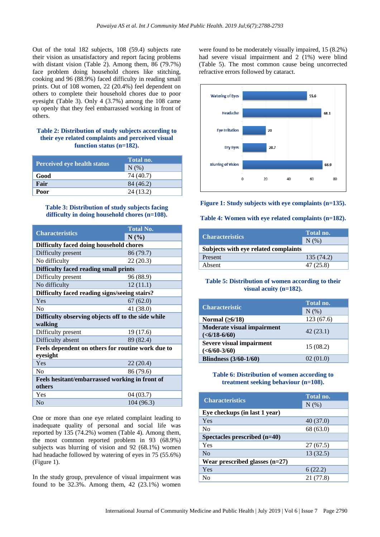Out of the total 182 subjects, 108 (59.4) subjects rate their vision as unsatisfactory and report facing problems with distant vision (Table 2). Among them, 86 (79.7%) face problem doing household chores like stitching, cooking and 96 (88.9%) faced difficulty in reading small prints. Out of 108 women, 22 (20.4%) feel dependent on others to complete their household chores due to poor eyesight (Table 3). Only 4 (3.7%) among the 108 came up openly that they feel embarrassed working in front of others.

#### **Table 2: Distribution of study subjects according to their eye related complaints and perceived visual function status (n=182).**

|                                    | Total no. |  |
|------------------------------------|-----------|--|
| <b>Perceived eye health status</b> | N(% )     |  |
| Good                               | 74 (40.7) |  |
| Fair                               | 84 (46.2) |  |
| Poor                               | 24 (13.2) |  |

#### **Table 3: Distribution of study subjects facing difficulty in doing household chores (n=108).**

|                                                    | <b>Total No.</b> |  |  |
|----------------------------------------------------|------------------|--|--|
| <b>Characteristics</b>                             | N(%)             |  |  |
| Difficulty faced doing household chores            |                  |  |  |
| Difficulty present                                 | 86 (79.7)        |  |  |
| No difficulty                                      | 22(20.3)         |  |  |
| Difficulty faced reading small prints              |                  |  |  |
| Difficulty present                                 | 96 (88.9)        |  |  |
| No difficulty                                      | 12(11.1)         |  |  |
| Difficulty faced reading signs/seeing stairs?      |                  |  |  |
| Yes                                                | 67(62.0)         |  |  |
| $\rm No$                                           | 41 (38.0)        |  |  |
| Difficulty observing objects off to the side while |                  |  |  |
| walking                                            |                  |  |  |
| Difficulty present                                 | 19 (17.6)        |  |  |
| Difficulty absent                                  | 89 (82.4)        |  |  |
| Feels dependent on others for routine work due to  |                  |  |  |
| eyesight                                           |                  |  |  |
| Yes                                                | 22(20.4)         |  |  |
| No                                                 | 86 (79.6)        |  |  |
| Feels hesitant/embarrassed working in front of     |                  |  |  |
| others                                             |                  |  |  |
| Yes                                                | 04 (03.7)        |  |  |
| N <sub>0</sub>                                     | 104 (96.3)       |  |  |

One or more than one eye related complaint leading to inadequate quality of personal and social life was reported by 135 (74.2%) women (Table 4). Among them, the most common reported problem in 93 (68.9%) subjects was blurring of vision and 92 (68.1%) women had headache followed by watering of eyes in 75 (55.6%) (Figure 1).

In the study group, prevalence of visual impairment was found to be 32.3%. Among them, 42 (23.1%) women

were found to be moderately visually impaired, 15 (8.2%) had severe visual impairment and 2 (1%) were blind (Table 5). The most common cause being uncorrected refractive errors followed by cataract.



**Figure 1: Study subjects with eye complaints (n=135).**

#### **Table 4: Women with eye related complaints (n=182).**

| <b>Characteristics</b>               | Total no.  |  |  |  |
|--------------------------------------|------------|--|--|--|
|                                      | N(%        |  |  |  |
| Subjects with eye related complaints |            |  |  |  |
| Present                              | 135 (74.2) |  |  |  |
| Absent                               | 47 (25.8)  |  |  |  |

# **Table 5: Distribution of women according to their visual acuity (n=182).**

|                                   | Total no. |
|-----------------------------------|-----------|
| <b>Characteristic</b>             | $N(\%)$   |
| Normal $(\geq 6/18)$              | 123(67.6) |
| <b>Moderate visual impairment</b> | 42(23.1)  |
| $(6/18-6/60)$                     |           |
| Severe visual impairment          | 15(08.2)  |
| $(6/60-3/60)$                     |           |
| <b>Blindness</b> (3/60-1/60)      | 02(01.0)  |

#### **Table 6: Distribution of women according to treatment seeking behaviour (n=108).**

| <b>Characteristics</b>           | Total no.  |  |  |  |
|----------------------------------|------------|--|--|--|
|                                  | $N$ $(\%)$ |  |  |  |
| Eye checkups (in last 1 year)    |            |  |  |  |
| Yes                              | 40(37.0)   |  |  |  |
| N <sub>0</sub>                   | 68 (63.0)  |  |  |  |
| Spectacles prescribed (n=40)     |            |  |  |  |
| Yes                              | 27 (67.5)  |  |  |  |
| $\rm No$                         | 13(32.5)   |  |  |  |
| Wear prescribed glasses $(n=27)$ |            |  |  |  |
| Yes                              | 6(22.2)    |  |  |  |
| No                               | 21 (77.8)  |  |  |  |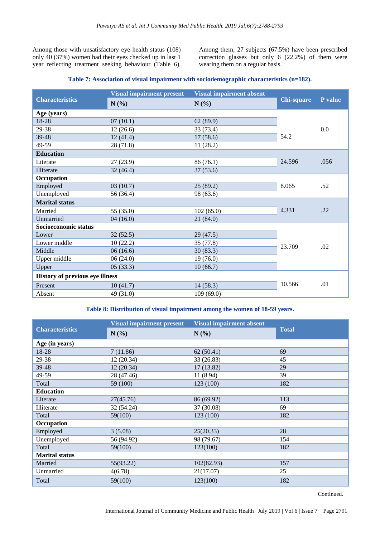Among those with unsatisfactory eye health status (108) only 40 (37%) women had their eyes checked up in last 1 year reflecting treatment seeking behaviour (Table 6). Among them, 27 subjects (67.5%) have been prescribed correction glasses but only 6 (22.2%) of them were wearing them on a regular basis.

## **Table 7: Association of visual impairment with sociodemographic characteristics (n=182).**

|                                        | <b>Visual impairment present</b> | <b>Visual impairment absent</b> |                   |         |
|----------------------------------------|----------------------------------|---------------------------------|-------------------|---------|
| <b>Characteristics</b>                 | N(%)                             | N(%)                            | <b>Chi-square</b> | P value |
| Age (years)                            |                                  |                                 |                   |         |
| 18-28                                  | 07(10.1)                         | 62(89.9)                        |                   |         |
| 29-38                                  | 12(26.6)                         | 33 (73.4)                       |                   | 0.0     |
| 39-48                                  | 12(41.4)                         | 17(58.6)                        | 54.2              |         |
| 49-59                                  | 28 (71.8)                        | 11 (28.2)                       |                   |         |
| <b>Education</b>                       |                                  |                                 |                   |         |
| Literate                               | 27(23.9)                         | 86(76.1)                        | 24.596            | .056    |
| Illiterate                             | 32(46.4)                         | 37(53.6)                        |                   |         |
| Occupation                             |                                  |                                 |                   |         |
| Employed                               | 03(10.7)                         | 25(89.2)                        | 8.065             | .52     |
| Unemployed                             | 56 (36.4)                        | 98 (63.6)                       |                   |         |
| <b>Marital status</b>                  |                                  |                                 |                   |         |
| Married                                | 55 (35.0)                        | 102(65.0)                       | 4.331             | .22     |
| Unmarried                              | 04(16.0)                         | 21(84.0)                        |                   |         |
| Socioeconomic status                   |                                  |                                 |                   |         |
| Lower                                  | 32(52.5)                         | 29(47.5)                        |                   |         |
| Lower middle                           | 10(22.2)                         | 35 (77.8)                       | 23.709            | .02     |
| Middle                                 | 06(16.6)                         | 30(83.3)                        |                   |         |
| Upper middle                           | 06(24.0)                         | 19(76.0)                        |                   |         |
| Upper                                  | 05(33.3)                         | 10(66.7)                        |                   |         |
| <b>History of previous eye illness</b> |                                  |                                 |                   |         |
| Present                                | 10(41.7)                         | 14(58.3)                        | 10.566            | .01     |
| Absent                                 | 49 (31.0)                        | 109(69.0)                       |                   |         |

#### **Table 8: Distribution of visual impairment among the women of 18-59 years.**

|                        | <b>Visual impairment present</b> | <b>Visual impairment absent</b> | <b>Total</b> |
|------------------------|----------------------------------|---------------------------------|--------------|
| <b>Characteristics</b> | N(%)                             | $N(\%)$                         |              |
| Age (in years)         |                                  |                                 |              |
| 18-28                  | 7(11.86)                         | 62(50.41)                       | 69           |
| 29-38                  | 12(20.34)                        | 33 (26.83)                      | 45           |
| 39-48                  | 12(20.34)                        | 17(13.82)                       | 29           |
| 49-59                  | 28 (47.46)                       | 11 (8.94)                       | 39           |
| Total                  | 59 (100)                         | 123 (100)                       | 182          |
| <b>Education</b>       |                                  |                                 |              |
| Literate               | 27(45.76)                        | 86 (69.92)                      | 113          |
| Illiterate             | 32 (54.24)                       | 37 (30.08)                      | 69           |
| Total                  | 59(100)                          | 123 (100)                       | 182          |
| Occupation             |                                  |                                 |              |
| Employed               | 3(5.08)                          | 25(20.33)                       | 28           |
| Unemployed             | 56 (94.92)                       | 98 (79.67)                      | 154          |
| Total                  | 59(100)                          | 123(100)                        | 182          |
| <b>Marital status</b>  |                                  |                                 |              |
| Married                | 55(93.22)                        | 102(82.93)                      | 157          |
| Unmarried              | 4(6.78)                          | 21(17.07)                       | 25           |
| Total                  | 59(100)                          | 123(100)                        | 182          |

Continued.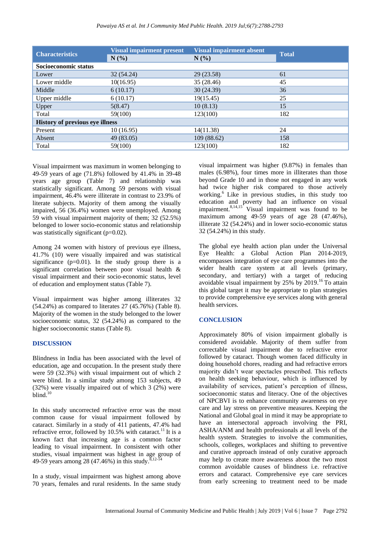*Pawaiya AS et al. Int J Community Med Public Health. 2019 Jul;6(7):2788-2793*

| <b>Characteristics</b>                 | <b>Visual impairment present</b><br>N(%) | <b>Visual impairment absent</b><br>N(%) | <b>Total</b> |  |
|----------------------------------------|------------------------------------------|-----------------------------------------|--------------|--|
| Socioeconomic status                   |                                          |                                         |              |  |
| Lower                                  | 32(54.24)                                | 29 (23.58)                              | 61           |  |
| Lower middle                           | 10(16.95)                                | 35 (28.46)                              | 45           |  |
| Middle                                 | 6(10.17)                                 | 30(24.39)                               | 36           |  |
| Upper middle                           | 6(10.17)                                 | 19(15.45)                               | 25           |  |
| Upper                                  | 5(8.47)                                  | 10(8.13)                                | 15           |  |
| Total                                  | 59(100)                                  | 123(100)                                | 182          |  |
| <b>History of previous eye illness</b> |                                          |                                         |              |  |
| Present                                | 10(16.95)                                | 14(11.38)                               | 24           |  |
| Absent                                 | 49 (83.05)                               | 109 (88.62)                             | 158          |  |
| Total                                  | 59(100)                                  | 123(100)                                | 182          |  |

Visual impairment was maximum in women belonging to 49-59 years of age (71.8%) followed by 41.4% in 39-48 years age group (Table 7) and relationship was statistically significant. Among 59 persons with visual impairment, 46.4% were illiterate in contrast to 23.9% of literate subjects. Majority of them among the visually impaired, 56 (36.4%) women were unemployed. Among 59 with visual impairment majority of them; 32 (52.5%) belonged to lower socio-economic status and relationship was statistically significant (p=0.02).

Among 24 women with history of previous eye illness, 41.7% (10) were visually impaired and was statistical significance  $(p=0.01)$ . In the study group there is a significant correlation between poor visual health & visual impairment and their socio-economic status, level of education and employment status (Table 7).

Visual impairment was higher among illiterates 32 (54.24%) as compared to literates 27 (45.76%) (Table 8). Majority of the women in the study belonged to the lower socioeconomic status, 32 (54.24%) as compared to the higher socioeconomic status (Table 8).

#### **DISCUSSION**

Blindness in India has been associated with the level of education, age and occupation. In the present study there were 59 (32.3%) with visual impairment out of which 2 were blind. In a similar study among 153 subjects, 49 (32%) were visually impaired out of which 3 (2%) were blind.<sup>10</sup>

In this study uncorrected refractive error was the most common cause for visual impairment followed by cataract. Similarly in a study of 411 patients, 47.4% had refractive error, followed by 10.5% with cataract.<sup>11</sup> It is a known fact that increasing age is a common factor leading to visual impairment. In consistent with other studies, visual impairment was highest in age group of 49-59 years among 28 (47.46%) in this study.<sup>8,12-14</sup>

In a study, visual impairment was highest among above 70 years, females and rural residents. In the same study

visual impairment was higher (9.87%) in females than males (6.98%), four times more in illiterates than those beyond Grade 10 and in those not engaged in any work had twice higher risk compared to those actively working.<sup>6</sup> Like in previous studies, in this study too education and poverty had an influence on visual impairment. $8,14,15$  Visual impairment was found to be maximum among 49-59 years of age 28 (47.46%), illiterate 32 (54.24%) and in lower socio-economic status 32 (54.24%) in this study.

The global eye health action plan under the Universal Eye Health: a Global Action Plan 2014-2019, encompasses integration of eye care programmes into the wider health care system at all levels (primary, secondary, and tertiary) with a target of reducing avoidable visual impairment by 25% by 2019.<sup>16</sup> To attain this global target it may be appropriate to plan strategies to provide comprehensive eye services along with general health services.

#### **CONCLUSION**

Approximately 80% of vision impairment globally is considered avoidable. Majority of them suffer from correctable visual impairment due to refractive error followed by cataract. Though women faced difficulty in doing household chores, reading and had refractive errors majority didn't wear spectacles prescribed. This reflects on health seeking behaviour, which is influenced by availability of services, patient's perception of illness, socioeconomic status and literacy. One of the objectives of NPCBVI is to enhance community awareness on eye care and lay stress on preventive measures. Keeping the National and Global goal in mind it may be appropriate to have an intersectoral approach involving the PRI, ASHA/ANM and health professionals at all levels of the health system. Strategies to involve the communities, schools, colleges, workplaces and shifting to preventive and curative approach instead of only curative approach may help to create more awareness about the two most common avoidable causes of blindness i.e. refractive errors and cataract. Comprehensive eye care services from early screening to treatment need to be made